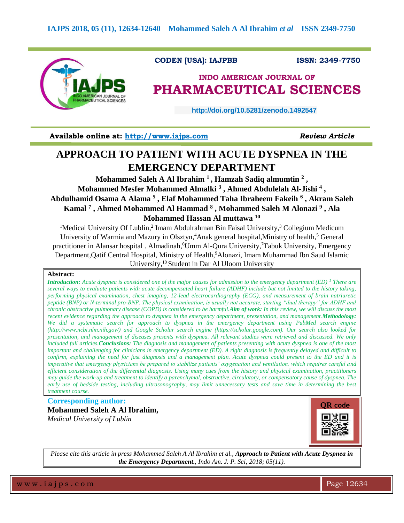

### **CODEN [USA]: IAJPBB ISSN: 2349-7750**

# **INDO AMERICAN JOURNAL OF PHARMACEUTICAL SCIENCES**

 **http://doi.org/10.5281/zenodo.1492547** 

**Available online at: [http://www.iajps.com](http://www.iajps.com/)** *Review Article*

# **APPROACH TO PATIENT WITH ACUTE DYSPNEA IN THE EMERGENCY DEPARTMENT**

**Mohammed Saleh A Al Ibrahim <sup>1</sup>, Hamzah Sadiq almumtin <sup>2</sup> , Mohammed Mesfer Mohammed Almalki <sup>3</sup> , Ahmed Abdulelah Al-Jishi <sup>4</sup> , Abdulhamid Osama A Alama <sup>5</sup> , Elaf Mohammed Taha Ibraheem Fakeih <sup>6</sup> , Akram Saleh Kamal <sup>7</sup> , Ahmed Mohammed Al Hammad <sup>8</sup> , Mohammed Saleh M Alonazi <sup>9</sup> , Ala Mohammed Hassan Al muttawa <sup>10</sup>**

<sup>1</sup>Medical University Of Lublin,<sup>2</sup> Imam Abdulrahman Bin Faisal University,<sup>3</sup> Collegium Medicum University of Warmia and Mazury in Olsztyn,<sup>4</sup>Anak general hospital, Ministry of health,<sup>5</sup> General practitioner in Alansar hospital . Almadinah, <sup>6</sup>Umm Al-Qura University, <sup>7</sup>Tabuk University, Emergency Department,Qatif Central Hospital, Ministry of Health, <sup>9</sup>Alonazi, Imam Muhammad Ibn Saud Islamic University, <sup>10</sup> Student in Dar Al Uloom University

#### **Abstract:**

*Introduction: Acute dyspnea is considered one of the major causes for admission to the emergency department (ED) <sup>1</sup> There are several ways to evaluate patients with acute decompensated heart failure (ADHF) include but not limited to the history taking, performing physical examination, chest imaging, 12-lead electrocardiography (ECG), and measurement of brain natriuretic peptide (BNP) or N-terminal pro-BNP. The physical examination, is usually not accurate, starting "dual therapy" for ADHF and chronic obstructive pulmonary disease (COPD) is considered to be harmful.Aim of work: In this review, we will discuss the most recent evidence regarding the approach to dyspnea in the emergency department, presentation, and management.Methodology: We did a systematic search for approach to dyspnea in the emergency department using PubMed search engine (http://www.ncbi.nlm.nih.gov/) and Google Scholar search engine (https://scholar.google.com). Our search also looked for presentation, and management of diseases presents with dyspnea. All relevant studies were retrieved and discussed. We only included full articles.Conclusions: The diagnosis and management of patients presenting with acute dyspnea is one of the most important and challenging for clinicians in emergency department (ED). A right diagnosis is frequently delayed and difficult to confirm, explaining the need for fast diagnosis and a management plan. Acute dyspnea could present to the ED and it is imperative that emergency physicians be prepared to stabilize patients' oxygenation and ventilation, which requires careful and efficient consideration of the differential diagnosis. Using many cues from the history and physical examination, practitioners may guide the work-up and treatment to identify a parenchymal, obstructive, circulatory, or compensatory cause of dyspnea. The early use of bedside testing, including ultrasonography, may limit unnecessary tests and save time in determining the best treatment course.*

## **Corresponding author: Mohammed Saleh A Al Ibrahim,** *Medical University of Lublin*



*Please cite this article in press Mohammed Saleh A Al Ibrahim et al., Approach to Patient with Acute Dyspnea in the Emergency Department., Indo Am. J. P. Sci, 2018; 05(11).*

w w w . i a j p s . c o m  $\blacksquare$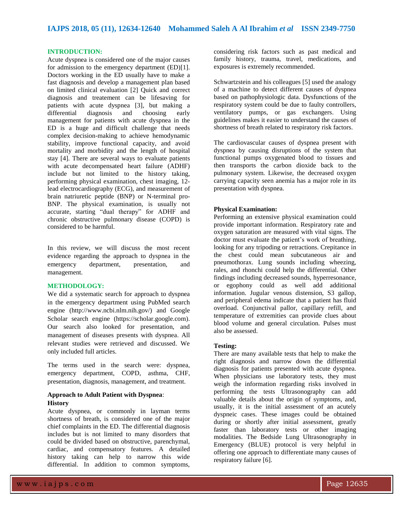#### **INTRODUCTION:**

Acute dyspnea is considered one of the major causes for admission to the emergency department (ED)[1]. Doctors working in the ED usually have to make a fast diagnosis and develop a management plan based on limited clinical evaluation [2] Quick and correct diagnosis and treatement can be lifesaving for patients with acute dyspnea [3], but making a differential diagnosis and choosing early management for patients with acute dyspnea in the ED is a huge and difficult challenge that needs complex decision-making to achieve hemodynamic stability, improve functional capacity, and avoid mortality and morbidity and the length of hospital stay [4]. There are several ways to evaluate patients with acute decompensated heart failure (ADHF) include but not limited to the history taking, performing physical examination, chest imaging, 12 lead electrocardiography (ECG), and measurement of brain natriuretic peptide (BNP) or N-terminal pro-BNP. The physical examination, is usually not accurate, starting "dual therapy" for ADHF and chronic obstructive pulmonary disease (COPD) is considered to be harmful.

In this review, we will discuss the most recent evidence regarding the approach to dyspnea in the emergency department, presentation, and management.

#### **METHODOLOGY:**

We did a systematic search for approach to dyspnea in the emergency department using PubMed search engine (http://www.ncbi.nlm.nih.gov/) and Google Scholar search engine (https://scholar.google.com). Our search also looked for presentation, and management of diseases presents with dyspnea. All relevant studies were retrieved and discussed. We only included full articles.

The terms used in the search were: dyspnea, emergency department, COPD, asthma, CHF, presentation, diagnosis, management, and treatment.

#### **Approach to Adult Patient with Dyspnea**: **History**

Acute dyspnea, or commonly in layman terms shortness of breath, is considered one of the major chief complaints in the ED. The differential diagnosis includes but is not limited to many disorders that could be divided based on obstructive, parenchymal, cardiac, and compensatory features. A detailed history taking can help to narrow this wide differential. In addition to common symptoms,

considering risk factors such as past medical and family history, trauma, travel, medications, and exposures is extremely recommended.

Schwartzstein and his colleagues [5] used the analogy of a machine to detect different causes of dyspnea based on pathophysiologic data. Dysfunctions of the respiratory system could be due to faulty controllers, ventilatory pumps, or gas exchangers. Using guidelines makes it easier to understand the causes of shortness of breath related to respiratory risk factors.

The cardiovascular causes of dyspnea present with dyspnea by causing disruptions of the system that functional pumps oxygenated blood to tissues and then transports the carbon dioxide back to the pulmonary system. Likewise, the decreased oxygen carrying capacity seen anemia has a major role in its presentation with dyspnea.

#### **Physical Examination:**

Performing an extensive physical examination could provide important information. Respiratory rate and oxygen saturation are measured with vital signs. The doctor must evaluate the patient's work of breathing, looking for any tripoding or retractions. Crepitance in the chest could mean subcutaneous air and pneumothorax. Lung sounds including wheezing, rales, and rhonchi could help the differential. Other findings including decreased sounds, hyperresonance, or egophony could as well add additional information. Jugular venous distension, S3 gallop, and peripheral edema indicate that a patient has fluid overload. Conjunctival pallor, capillary refill, and temperature of extremities can provide clues about blood volume and general circulation. Pulses must also be assessed.

#### **Testing:**

There are many available tests that help to make the right diagnosis and narrow down the differential diagnosis for patients presented with acute dyspnea. When physicians use laboratory tests, they must weigh the information regarding risks involved in performing the tests Ultrasonography can add valuable details about the origin of symptoms, and, usually, it is the initial assessment of an acutely dyspneic cases. These images could be obtained during or shortly after initial assessment, greatly faster than laboratory tests or other imaging modalities. The Bedside Lung Ultrasonography in Emergency (BLUE) protocol is very helpful in offering one approach to differentiate many causes of respiratory failure [6].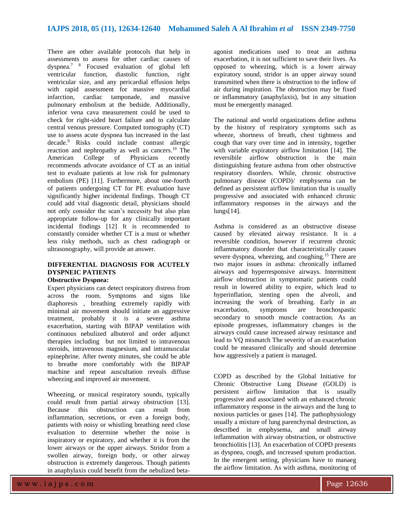There are other available protocols that help in assessments to assess for other cardiac causes of dyspnea.<sup>7</sup> <sup>8</sup> Focused evaluation of global left ventricular function, diastolic function, right ventricular size, and any pericardial effusion helps with rapid assessment for massive myocardial infarction, cardiac tamponade, and massive pulmonary embolism at the bedside. Additionally, inferior vena cava measurement could be used to check for right-sided heart failure and to calculate central venous pressure. Computed tomography (CT) use to assess acute dyspnea has increased in the last decade.<sup>9</sup> Risks could include contrast allergic reaction and nephropathy as well as cancers.<sup>10</sup> The American College of Physicians recently recommends advocate avoidance of CT as an initial test to evaluate patients at low risk for pulmonary embolism (PE) [11]. Furthermore, about one-fourth of patients undergoing CT for PE evaluation have significantly higher incidental findings. Though CT could add vital diagnostic detail, physicians should not only consider the scan's necessity but also plan appropriate follow-up for any clinically important incidental findings [12] It is recommended to constantly consider whether CT is a must or whether less risky methods, such as chest radiograph or ultrasonography, will provide an answer.

# **DIFFERENTIAL DIAGNOSIS FOR ACUTELY DYSPNEIC PATIENTS**

## **Obstructive Dyspnea:**

Expert physicians can detect respiratory distress from across the room. Symptoms and signs like diaphoresis , breathing extremely rapidly with minimal air movement should initiate an aggressive treatment, probably it is a severe asthma exacerbation, starting with BIPAP ventilation with continuous nebulized albuterol and order adjunct therapies including but not limited to intravenous steroids, intravenous magnesium, and intramuscular epinephrine. After twenty minutes, she could be able to breathe more comfortably with the BIPAP machine and repeat auscultation reveals diffuse wheezing and improved air movement.

Wheezing, or musical respiratory sounds, typically could result from partial airway obstruction [13]. Because this obstruction can result from inflammation, secretions, or even a foreign body, patients with noisy or whistling breathing need close evaluation to determine whether the noise is inspiratory or expiratory, and whether it is from the lower airways or the upper airways. Stridor from a swollen airway, foreign body, or other airway obstruction is extremely dangerous. Though patients in anaphylaxis could benefit from the nebulized betaagonist medications used to treat an asthma exacerbation, it is not sufficient to save their lives. As opposed to wheezing, which is a lower airway expiratory sound, stridor is an upper airway sound transmitted when there is obstruction to the inflow of air during inspiration. The obstruction may be fixed or inflammatory (anaphylaxis), but in any situation must be emergently managed.

The national and world organizations define asthma by the history of respiratory symptoms such as wheeze, shortness of breath, chest tightness and cough that vary over time and in intensity, together with variable expiratory airflow limitation [14]. The reversibile airflow obstruction is the main distinguishing feature asthma from other obstructive respiratory disorders. While, chronic obstructive pulmonary disease (COPD)/ emphysema can be defined as persistent airflow limitation that is usually progressive and associated with enhanced chronic inflammatory responses in the airways and the lungs[14].

Asthma is considered as an obstructive disease caused by elevated airway resistance. It is a reversible condition, however if recurrent chronic inflammatory disorder that characteristically causes severe dyspnea, wheezing, and coughing.<sup>15</sup> There are two major issues in asthma: chronically inflamed airways and hyperresponsive airways. Intermittent airflow obstruction in symptomatic patients could result in lowered ability to expire, which lead to hyperinflation, stenting open the alveoli, and increasing the work of breathing. Early in an exacerbation, symptoms are bronchospastic secondary to smooth muscle contraction. As an episode progresses, inflammatory changes in the airways could cause increased airway resistance and lead to VQ mismatch The severity of an exacerbation could be measured clinically and should determine how aggressively a patient is managed.

COPD as described by the Global Initiative for Chronic Obstructive Lung Disease (GOLD) is persistent airflow limitation that is usually progressive and associated with an enhanced chronic inflammatory response in the airways and the lung to noxious particles or gases [14]. The pathophysiology usually a mixture of lung parenchymal destruction, as described in emphysema, and small airway inflammation with airway obstruction, or obstructive bronchiolitis [13]. An exacerbation of COPD presents as dyspnea, cough, and increased sputum production. In the emergent setting, physicians have to manaeg the airflow limitation. As with asthma, monitoring of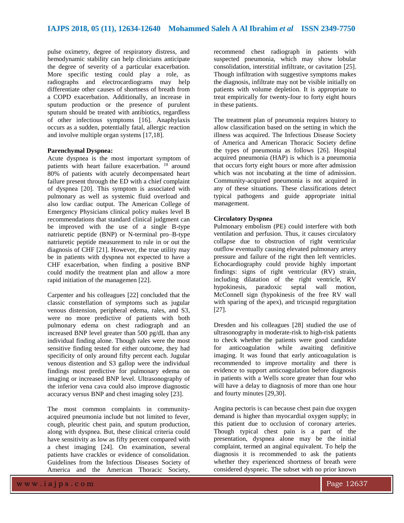pulse oximetry, degree of respiratory distress, and hemodynamic stability can help clinicians anticipate the degree of severity of a particular exacerbation. More specific testing could play a role, as radiographs and electrocardiograms may help differentiate other causes of shortness of breath from a COPD exacerbation. Additionally, an increase in sputum production or the presence of purulent sputum should be treated with antibiotics, regardless of other infectious symptoms [16]. Anaphylaxis occurs as a sudden, potentially fatal, allergic reaction and involve multiple organ systems [17,18].

#### **Parenchymal Dyspnea:**

Acute dyspnea is the most important symptom of patients with heart failure exacerbation.<sup>19</sup> around 80% of patients with acutely decompensated heart failure present through the ED with a chief complaint of dyspnea [20]. This symptom is associated with pulmonary as well as systemic fluid overload and also low cardiac output. The American College of Emergency Physicians clinical policy makes level B recommendations that standard clinical judgment can be improved with the use of a single B-type natriuretic peptide (BNP) or N-terminal pro–B-type natriuretic peptide measurement to rule in or out the diagnosis of CHF [21]. However, the true utility may be in patients with dyspnea not expected to have a CHF exacerbation, when finding a positive BNP could modify the treatment plan and allow a more rapid initiation of the managemen [22].

Carpenter and his colleagues [22] concluded that the classic constellation of symptoms such as jugular venous distension, peripheral edema, rales, and S3, were no more predictive of patients with both pulmonary edema on chest radiograph and an increased BNP level greater than 500 pg/dL than any individual finding alone. Though rales were the most sensitive finding tested for either outcome, they had specificity of only around fifty percent each. Jugular venous distention and S3 gallop were the individual findings most predictive for pulmonary edema on imaging or increased BNP level. Ultrasonography of the inferior vena cava could also improve diagnostic accuracy versus BNP and chest imaging soley [23].

The most common complaints in communityacquired pneumonia include but not limited to fever, cough, pleuritic chest pain, and sputum production, along with dyspnea. But, these clinical criteria could have sensitivity as low as fifty percent compared with a chest imaging [24]. On examination, several patients have crackles or evidence of consolidation. Guidelines from the Infectious Diseases Society of America and the American Thoracic Society,

recommend chest radiograph in patients with suspected pneumonia, which may show lobular consolidation, interstitial infiltrate, or cavitation [25]. Though infiltration with suggestive symptoms makes the diagnosis, infiltrate may not be visible initially on patients with volume depletion. It is appropriate to treat empirically for twenty-four to forty eight hours in these patients.

The treatment plan of pneumonia requires history to allow classification based on the setting in which the illness was acquired. The Infectious Disease Society of America and American Thoracic Society define the types of pneumonia as follows [26]. Hospital acquired pneumonia (HAP) is which is a pneumonia that occurs forty eight hours or more after admission which was not incubating at the time of admission. Community-acquired pneumonia is not acquired in any of these situations. These classifications detect typical pathogens and guide appropriate initial management.

### **Circulatory Dyspnea**

Pulmonary embolism (PE) could interfere with both ventilation and perfusion. Thus, it causes circulatory collapse due to obstruction of right ventricular outflow eventually causing elevated pulmonary artery pressure and failure of the right then left ventricles. Echocardiography could provide highly important findings: signs of right ventricular (RV) strain, including dilatation of the right ventricle, RV<br>hypokinesis, paradoxic septal wall motion. hypokinesis, paradoxic septal wall motion, McConnell sign (hypokinesis of the free RV wall with sparing of the apex), and tricuspid regurgitation [27].

Dresden and his colleagues [28] studied the use of ultrasonography in moderate-risk to high-risk patients to check whether the patients were good candidate for anticoagulation while awaiting definitive imaging. It was found that early anticoagulation is recommended to improve mortality and there is evidence to support anticoagulation before diagnosis in patients with a Wells score greater than four who will have a delay to diagnosis of more than one hour and fourty minutes [29,30].

Angina pectoris is can because chest pain due oxygen demand is higher than myocardial oxygen supply; in this patient due to occlusion of coronary arteries. Though typical chest pain is a part of the presentation, dyspnea alone may be the initial complaint, termed an anginal equivalent. To help the diagnosis it is recommended to ask the patients whether they experienced shortness of breath were considered dyspneic. The subset with no prior known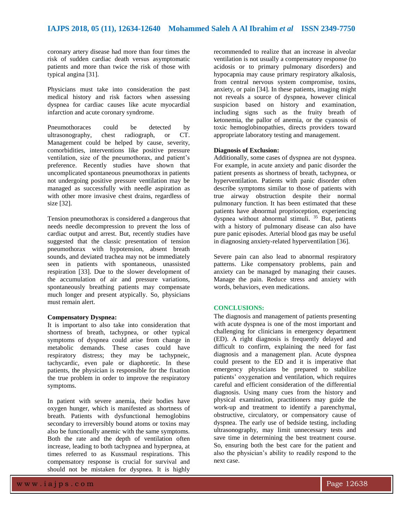coronary artery disease had more than four times the risk of sudden cardiac death versus asymptomatic patients and more than twice the risk of those with typical angina [31].

Physicians must take into consideration the past medical history and risk factors when assessing dyspnea for cardiac causes like acute myocardial infarction and acute coronary syndrome.

Pneumothoraces could be detected by ultrasonography, chest radiograph, or CT. Management could be helped by cause, severity, comorbidities, interventions like positive pressure ventilation, size of the pneumothorax, and patient's preference. Recently studies have shown that uncomplicated spontaneous pneumothorax in patients not undergoing positive pressure ventilation may be managed as successfully with needle aspiration as with other more invasive chest drains, regardless of size [32].

Tension pneumothorax is considered a dangerous that needs needle decompression to prevent the loss of cardiac output and arrest. But, recently studies have suggested that the classic presentation of tension pneumothorax with hypotension, absent breath sounds, and deviated trachea may not be immediately seen in patients with spontaneous, unassisted respiration [33]. Due to the slower development of the accumulation of air and pressure variations, spontaneously breathing patients may compensate much longer and present atypically. So, physicians must remain alert.

#### **Compensatory Dyspnea:**

It is important to also take into consideration that shortness of breath, tachypnea, or other typical symptoms of dyspnea could arise from change in metabolic demands. These cases could have respiratory distress; they may be tachypneic, tachycardic, even pale or diaphoretic. In these patients, the physician is responsible for the fixation the true problem in order to improve the respiratory symptoms.

In patient with severe anemia, their bodies have oxygen hunger, which is manifested as shortness of breath. Patients with dysfunctional hemoglobins secondary to irreversibly bound atoms or toxins may also be functionally anemic with the same symptoms. Both the rate and the depth of ventilation often increase, leading to both tachypnea and hyperpnea, at times referred to as Kussmaul respirations. This compensatory response is crucial for survival and should not be mistaken for dyspnea. It is highly

recommended to realize that an increase in alveolar ventilation is not usually a compensatory response (to acidosis or to primary pulmonary disorders) and hypocapnia may cause primary respiratory alkalosis, from central nervous system compromise, toxins, anxiety, or pain [34]. In these patients, imaging might not reveals a source of dyspnea, however clinical suspicion based on history and examination, including signs such as the fruity breath of ketonemia, the pallor of anemia, or the cyanosis of toxic hemoglobinopathies, directs providers toward appropriate laboratory testing and management.

#### **Diagnosis of Exclusion:**

Additionally, some cases of dyspnea are not dyspnea. For example, in acute anxiety and panic disorder the patient presents as shortness of breath, tachypnea, or hyperventilation. Patients with panic disorder often describe symptoms similar to those of patients with true airway obstruction despite their normal pulmonary function. It has been estimated that these patients have abnormal proprioception, experiencing dyspnea without abnormal stimuli.  $35$  But, patients with a history of pulmonary disease can also have pure panic episodes. Arterial blood gas may be useful in diagnosing anxiety-related hyperventilation [36].

Severe pain can also lead to abnormal respiratory patterns. Like compensatory problems, pain and anxiety can be managed by managing their causes. Manage the pain. Reduce stress and anxiety with words, behaviors, even medications.

#### **CONCLUSIONS:**

The diagnosis and management of patients presenting with acute dyspnea is one of the most important and challenging for clinicians in emergency department (ED). A right diagnosis is frequently delayed and difficult to confirm, explaining the need for fast diagnosis and a management plan. Acute dyspnea could present to the ED and it is imperative that emergency physicians be prepared to stabilize patients' oxygenation and ventilation, which requires careful and efficient consideration of the differential diagnosis. Using many cues from the history and physical examination, practitioners may guide the work-up and treatment to identify a parenchymal, obstructive, circulatory, or compensatory cause of dyspnea. The early use of bedside testing, including ultrasonography, may limit unnecessary tests and save time in determining the best treatment course. So, ensuring both the best care for the patient and also the physician's ability to readily respond to the next case.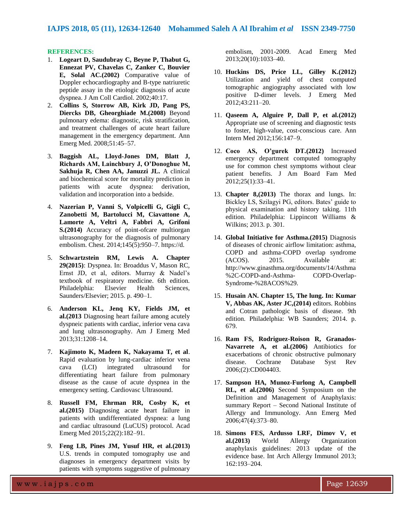#### **REFERENCES:**

- 1. **Logeart D, Saudubray C, Beyne P, Thabut G, Ennezat PV, Chavelas C, Zanker C, Bouvier E, Solal AC.(2002)** Comparative value of Doppler echocardiography and B-type natriuretic peptide assay in the etiologic diagnosis of acute dyspnea. J Am Coll Cardiol. 2002;40:17.
- 2. **Collins S, Storrow AB, Kirk JD, Pang PS, Diercks DB, Gheorghiade M.(2008)** Beyond pulmonary edema: diagnostic, risk stratification, and treatment challenges of acute heart failure management in the emergency department. Ann Emerg Med. 2008;51:45–57.
- 3. **Baggish AL, Lloyd-Jones DM, Blatt J, Richards AM, Lainchbury J, O'Donoghue M, Sakhuja R, Chen AA, Januzzi JL.** A clinical and biochemical score for mortality prediction in patients with acute dyspnea: derivation, validation and incorporation into a bedside.
- 4. **Nazerian P, Vanni S, Volpicelli G, Gigli C, Zanobetti M, Bartolucci M, Ciavattone A, Lamorte A, Veltri A, Fabbri A, Grifoni S.(2014)** Accuracy of point-ofcare multiorgan ultrasonography for the diagnosis of pulmonary embolism. Chest. 2014;145(5):950–7. https://d.
- 5. **Schwartzstein RM, Lewis A. Chapter 29(2015)**: Dyspnea. In: Broaddus V, Mason RC, Ernst JD, et al, editors. Murray & Nadel's textbook of respiratory medicine. 6th edition. Philadelphia: Elsevier Health Sciences, Saunders/Elsevier; 2015. p. 490–1.
- 6. **Anderson KL, Jenq KY, Fields JM, et al.(2013** Diagnosing heart failure among acutely dyspneic patients with cardiac, inferior vena cava and lung ultrasonography. Am J Emerg Med 2013;31:1208–14.
- 7. **Kajimoto K, Madeen K, Nakayama T, et al**. Rapid evaluation by lung-cardiac inferior vena cava (LCI) integrated ultrasound for differentiating heart failure from pulmonary disease as the cause of acute dyspnea in the emergency setting. Cardiovasc Ultrasound.
- 8. **Russell FM, Ehrman RR, Cosby K, et al.(2015)** Diagnosing acute heart failure in patients with undifferentiated dyspnea: a lung and cardiac ultrasound (LuCUS) protocol. Acad Emerg Med 2015;22(2):182–91.
- 9. **Feng LB, Pines JM, Yusuf HR, et al.(2013)** U.S. trends in computed tomography use and diagnoses in emergency department visits by patients with symptoms suggestive of pulmonary

embolism, 2001-2009. Acad Emerg Med 2013;20(10):1033–40.

- 10. **Huckins DS, Price LL, Gilley K.(2012)** Utilization and yield of chest computed tomographic angiography associated with low positive D-dimer levels. J Emerg Med 2012;43:211–20.
- 11. **Qaseem A, Alguire P, Dall P, et al.(2012)** Appropriate use of screening and diagnostic tests to foster, high-value, cost-conscious care. Ann Intern Med 2012;156:147–9.
- 12. **Coco AS, O'gurek DT.(2012)** Increased emergency department computed tomography use for common chest symptoms without clear patient benefits. J Am Board Fam Med 2012;25(1):33–41.
- 13. **Chapter 8,(2013)** The thorax and lungs. In: Bickley LS, Szilagyi PG, editors. Bates' guide to physical examination and history taking. 11th edition. Philadelphia: Lippincott Williams & Wilkins; 2013. p. 301.
- 14. **Global Initiative for Asthma.(2015)** Diagnosis of diseases of chronic airflow limitation: asthma, COPD and asthma-COPD overlap syndrome (ACOS). 2015. Available at: http://www.ginasthma.org/documents/14/Asthma %2C-COPD-and-Asthma- COPD-Overlap-Syndrome-%28ACOS%29.
- 15. **Husain AN. Chapter 15, The lung. In: Kumar V, Abbas AK, Aster JC,(2014)** editors. Robbins and Cotran pathologic basis of disease. 9th edition. Philadelphia: WB Saunders; 2014. p. 679.
- 16. **Ram FS, Rodriguez-Roison R, Granados-Navarrete A, et al.(2006)** Antibiotics for exacerbations of chronic obstructive pulmonary disease. Cochrane Database Syst Rev 2006;(2):CD004403.
- 17. **Sampson HA, Munoz-Furlong A, Campbell RL, et al.(2006)** Second Symposium on the Definition and Management of Anaphylaxis: summary Report – Second National Institute of Allergy and Immunology. Ann Emerg Med 2006;47(4):373–80.
- 18. **Simons FES, Ardusso LRF, Dimov V, et al.(2013)** World Allergy Organization anaphylaxis guidelines: 2013 update of the evidence base. Int Arch Allergy Immunol 2013; 162:193–204.